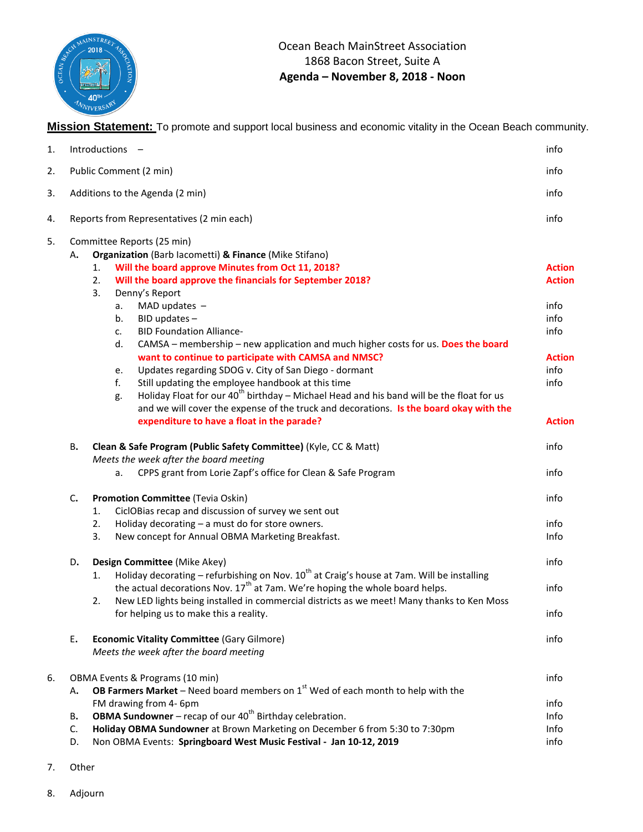

**Mission Statement:** To promote and support local business and economic vitality in the Ocean Beach community.

| 1. |                                                                                                                                    | Introductions -                                                                                                                                                                                                                                                                                                                                                                                                                                                                                                                                                                    | info                                                                                    |
|----|------------------------------------------------------------------------------------------------------------------------------------|------------------------------------------------------------------------------------------------------------------------------------------------------------------------------------------------------------------------------------------------------------------------------------------------------------------------------------------------------------------------------------------------------------------------------------------------------------------------------------------------------------------------------------------------------------------------------------|-----------------------------------------------------------------------------------------|
| 2. | Public Comment (2 min)                                                                                                             |                                                                                                                                                                                                                                                                                                                                                                                                                                                                                                                                                                                    | info                                                                                    |
| 3. |                                                                                                                                    | Additions to the Agenda (2 min)                                                                                                                                                                                                                                                                                                                                                                                                                                                                                                                                                    | info                                                                                    |
| 4. |                                                                                                                                    | Reports from Representatives (2 min each)                                                                                                                                                                                                                                                                                                                                                                                                                                                                                                                                          | info                                                                                    |
| 5. |                                                                                                                                    | Committee Reports (25 min)                                                                                                                                                                                                                                                                                                                                                                                                                                                                                                                                                         |                                                                                         |
|    | А.                                                                                                                                 | Organization (Barb lacometti) & Finance (Mike Stifano)<br>Will the board approve Minutes from Oct 11, 2018?<br>1.<br>Will the board approve the financials for September 2018?<br>2.<br>3.<br>Denny's Report<br>MAD updates $-$<br>a.<br>BID updates -<br>b.<br><b>BID Foundation Alliance-</b><br>c.<br>CAMSA - membership - new application and much higher costs for us. Does the board<br>d.<br>want to continue to participate with CAMSA and NMSC?<br>Updates regarding SDOG v. City of San Diego - dormant<br>e.<br>f.<br>Still updating the employee handbook at this time | <b>Action</b><br><b>Action</b><br>info<br>info<br>info<br><b>Action</b><br>info<br>info |
|    | В.                                                                                                                                 | Holiday Float for our $40^{th}$ birthday – Michael Head and his band will be the float for us<br>g.<br>and we will cover the expense of the truck and decorations. Is the board okay with the<br>expenditure to have a float in the parade?<br>Clean & Safe Program (Public Safety Committee) (Kyle, CC & Matt)                                                                                                                                                                                                                                                                    | <b>Action</b><br>info                                                                   |
|    |                                                                                                                                    | Meets the week after the board meeting<br>CPPS grant from Lorie Zapf's office for Clean & Safe Program<br>a.                                                                                                                                                                                                                                                                                                                                                                                                                                                                       | info                                                                                    |
|    | C.                                                                                                                                 | Promotion Committee (Tevia Oskin)<br>CiclOBias recap and discussion of survey we sent out<br>1.<br>Holiday decorating - a must do for store owners.<br>2.<br>3.<br>New concept for Annual OBMA Marketing Breakfast.                                                                                                                                                                                                                                                                                                                                                                | info<br>info<br>Info                                                                    |
|    | D.                                                                                                                                 | Design Committee (Mike Akey)                                                                                                                                                                                                                                                                                                                                                                                                                                                                                                                                                       | info                                                                                    |
|    |                                                                                                                                    | Holiday decorating – refurbishing on Nov. $10^{th}$ at Craig's house at 7am. Will be installing<br>1.<br>the actual decorations Nov. $17th$ at 7am. We're hoping the whole board helps.                                                                                                                                                                                                                                                                                                                                                                                            | info                                                                                    |
|    |                                                                                                                                    | New LED lights being installed in commercial districts as we meet! Many thanks to Ken Moss<br>2.<br>for helping us to make this a reality.                                                                                                                                                                                                                                                                                                                                                                                                                                         | info                                                                                    |
|    | E.                                                                                                                                 | <b>Economic Vitality Committee (Gary Gilmore)</b><br>Meets the week after the board meeting                                                                                                                                                                                                                                                                                                                                                                                                                                                                                        | info                                                                                    |
| 6. | OBMA Events & Programs (10 min)<br><b>OB Farmers Market</b> – Need board members on $1st$ Wed of each month to help with the<br>А. |                                                                                                                                                                                                                                                                                                                                                                                                                                                                                                                                                                                    | info                                                                                    |
|    | в.<br>C.<br>D.                                                                                                                     | FM drawing from 4- 6pm<br><b>OBMA Sundowner</b> – recap of our $40^{th}$ Birthday celebration.<br>Holiday OBMA Sundowner at Brown Marketing on December 6 from 5:30 to 7:30pm<br>Non OBMA Events: Springboard West Music Festival - Jan 10-12, 2019                                                                                                                                                                                                                                                                                                                                | info<br>Info<br>Info<br>info                                                            |

- 7. Other
- 8. Adjourn